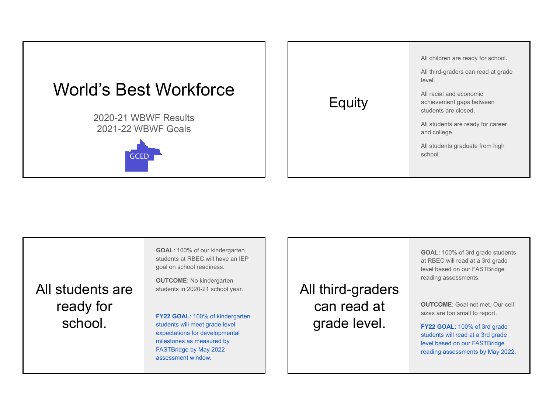

|        | All children are ready for school.                                          |
|--------|-----------------------------------------------------------------------------|
|        | All third-graders can read at grade<br>level.                               |
| Equity | All racial and economic<br>achievement gaps between<br>students are closed. |
|        | All students are ready for career<br>and college.                           |
|        | All students graduate from high<br>school.                                  |
|        |                                                                             |

**GOAL**: 100% of our kindergarten students at RBEC will have an IEP goal on school readiness.

**OUTCOME**: No kindergarten students in 2020-21 school year.

**FY22 GOAL**: 100% of kindergarten students will meet grade level expectations for developmental milestones as measured by FASTBridge by May 2022 assessment window.

All third-graders can read at grade level.

**GOAL**: 100% of 3rd grade students at RBEC will read at a 3rd grade level based on our FASTBridge reading assessments.

**OUTCOME**: Goal not met. Our cell sizes are too small to report.

**FY22 GOAL**: 100% of 3rd grade students will read at a 3rd grade level based on our FASTBridge reading assessments by May 2022.

All students are ready for school.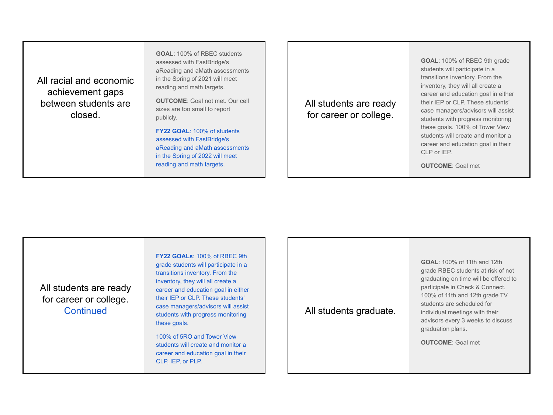All racial and economic achievement gaps between students are closed.

**GOAL**: 100% of RBEC students assessed with FastBridge's aReading and aMath assessments in the Spring of 2021 will meet reading and math targets.

**OUTCOME**: Goal not met. Our cell sizes are too small to report publicly.

**FY22 GOAL**: 100% of students assessed with FastBridge's aReading and aMath assessments in the Spring of 2022 will meet reading and math targets.

All students are ready for career or college.

**GOAL**: 100% of RBEC 9th grade students will participate in a transitions inventory. From the inventory, they will all create a career and education goal in either their IEP or CLP. These students' case managers/advisors will assist students with progress monitoring these goals. 100% of Tower View students will create and monitor a career and education goal in their CLP or IFP.

**OUTCOME**: Goal met

All students are ready for career or college. **Continued** 

**FY22 GOALs**: 100% of RBEC 9th grade students will participate in a transitions inventory. From the inventory, they will all create a career and education goal in either their IEP or CLP. These students' case managers/advisors will assist students with progress monitoring these goals.

100% of 5RO and Tower View students will create and monitor a career and education goal in their CLP, IEP, or PLP.

## All students graduate.

**GOAL**: 100% of 11th and 12th grade RBEC students at risk of not graduating on time will be offered to participate in Check & Connect. 100% of 11th and 12th grade TV students are scheduled for individual meetings with their advisors every 3 weeks to discuss graduation plans.

**OUTCOME**: Goal met